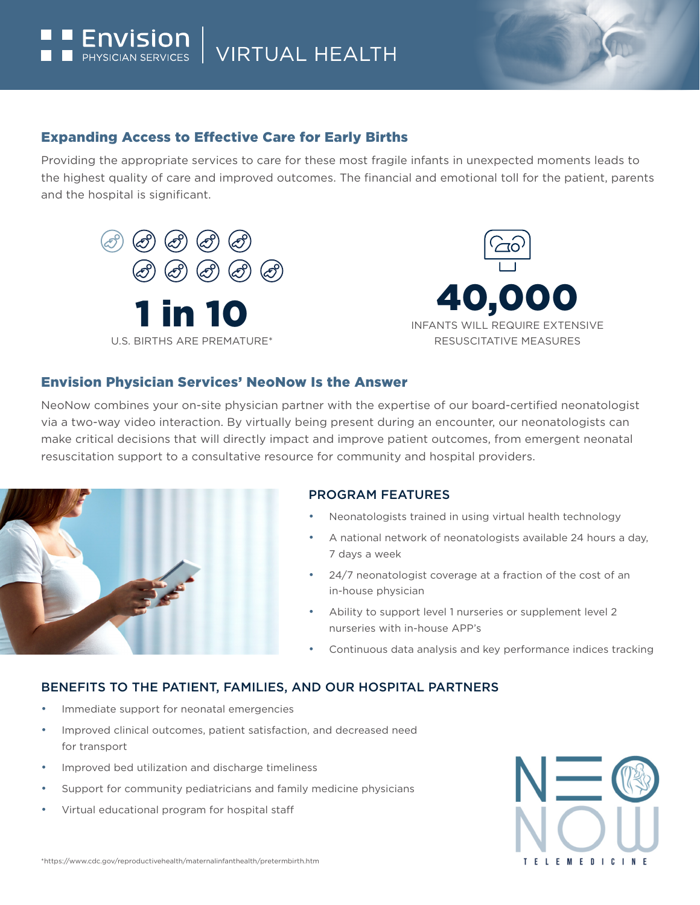### Expanding Access to Effective Care for Early Births

Providing the appropriate services to care for these most fragile infants in unexpected moments leads to the highest quality of care and improved outcomes. The financial and emotional toll for the patient, parents and the hospital is significant.



#### Envision Physician Services' NeoNow Is the Answer

NeoNow combines your on-site physician partner with the expertise of our board-certified neonatologist via a two-way video interaction. By virtually being present during an encounter, our neonatologists can make critical decisions that will directly impact and improve patient outcomes, from emergent neonatal resuscitation support to a consultative resource for community and hospital providers.



#### PROGRAM FEATURES

- Neonatologists trained in using virtual health technology
- A national network of neonatologists available 24 hours a day, 7 days a week
- 24/7 neonatologist coverage at a fraction of the cost of an in-house physician
- Ability to support level 1 nurseries or supplement level 2 nurseries with in-house APP's
- Continuous data analysis and key performance indices tracking

#### BENEFITS TO THE PATIENT, FAMILIES, AND OUR HOSPITAL PARTNERS

- Immediate support for neonatal emergencies
- Improved clinical outcomes, patient satisfaction, and decreased need for transport
- Improved bed utilization and discharge timeliness
- Support for community pediatricians and family medicine physicians
- Virtual educational program for hospital staff